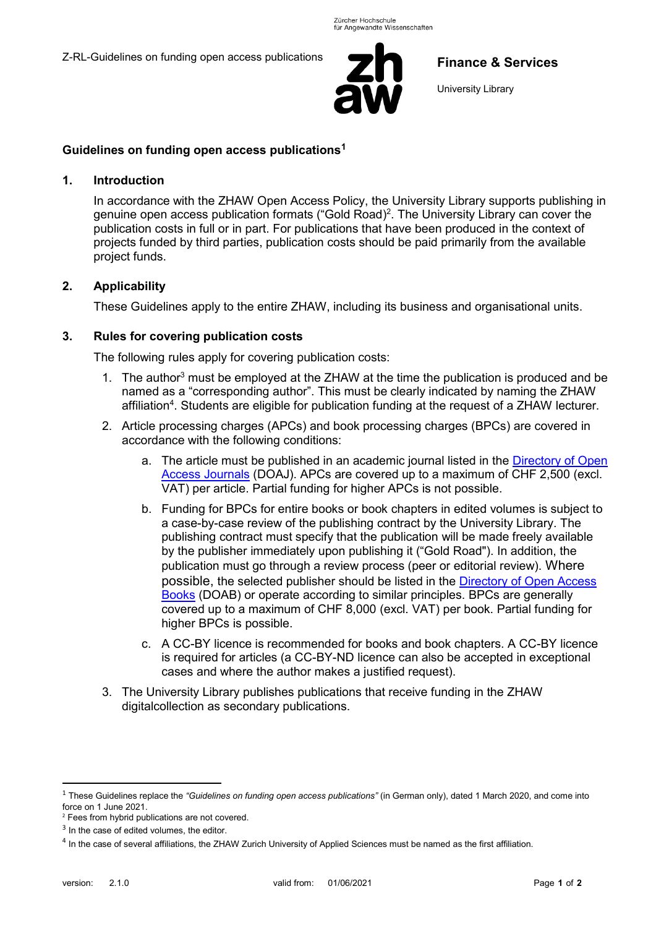Z-RL-Guidelines on funding open access publications



# **Finance & Services**

University Library

### **Guidelines on funding open access publications<sup>1</sup>**

#### **1. Introduction**

In accordance with the ZHAW Open Access Policy, the University Library supports publishing in genuine open access publication formats ("Gold Road) 2 . The University Library can cover the publication costs in full or in part. For publications that have been produced in the context of projects funded by third parties, publication costs should be paid primarily from the available project funds.

### **2. Applicability**

These Guidelines apply to the entire ZHAW, including its business and organisational units.

### **3. Rules for covering publication costs**

The following rules apply for covering publication costs:

- 1. The author<sup>3</sup> must be employed at the ZHAW at the time the publication is produced and be named as a "corresponding author". This must be clearly indicated by naming the ZHAW affiliation<sup>4</sup>. Students are eligible for publication funding at the request of a ZHAW lecturer.
- 2. Article processing charges (APCs) and book processing charges (BPCs) are covered in accordance with the following conditions:
	- a. The article must be published in an academic journal listed in the [Directory of Open](https://doaj.org/)  [Access Journals](https://doaj.org/) (DOAJ). APCs are covered up to a maximum of CHF 2,500 (excl. VAT) per article. Partial funding for higher APCs is not possible.
	- b. Funding for BPCs for entire books or book chapters in edited volumes is subject to a case-by-case review of the publishing contract by the University Library. The publishing contract must specify that the publication will be made freely available by the publisher immediately upon publishing it ("Gold Road"). In addition, the publication must go through a review process (peer or editorial review). Where possible, the selected publisher should be listed in the [Directory of Open Access](https://www.doabooks.org/)  [Books](https://www.doabooks.org/) (DOAB) or operate according to similar principles. BPCs are generally covered up to a maximum of CHF 8,000 (excl. VAT) per book. Partial funding for higher BPCs is possible.
	- c. A CC-BY licence is recommended for books and book chapters. A CC-BY licence is required for articles (a CC-BY-ND licence can also be accepted in exceptional cases and where the author makes a justified request).
- 3. The University Library publishes publications that receive funding in the ZHAW digitalcollection as secondary publications.

1

<sup>1</sup> These Guidelines replace the *"Guidelines on funding open access publications"* (in German only), dated 1 March 2020, and come into force on 1 June 2021.

<sup>&</sup>lt;sup>2</sup> Fees from hybrid publications are not covered.

<sup>&</sup>lt;sup>3</sup> In the case of edited volumes, the editor.

<sup>&</sup>lt;sup>4</sup> In the case of several affiliations, the ZHAW Zurich University of Applied Sciences must be named as the first affiliation.